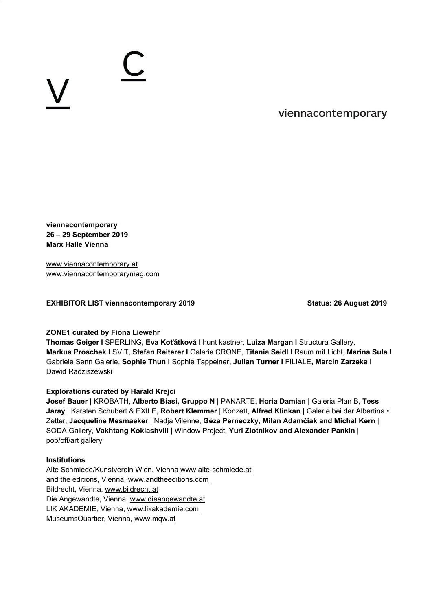$\bigcup$ 

viennacontemporary

**viennacontemporary 26 – 29 September 2019 Marx Halle Vienna**

[www.viennacontemporary.at](http://www.viennacontemporary.at/) [www.viennacontemporarymag.com](http://www.viennacontemporarymag.com/)

**EXHIBITOR LIST viennacontemporary 2019 Status: 26 August 2019**

# **ZONE1 curated by Fiona Liewehr**

**Thomas Geiger I** SPERLING**, Eva Koťátková I** hunt kastner, **Luiza Margan I** Structura Gallery, **Markus Proschek I** SVIT, **Stefan Reiterer I** Galerie CRONE, **Titania Seidl I** Raum mit Licht, **Marina Sula I** Gabriele Senn Galerie, **Sophie Thun I** Sophie Tappeiner**, Julian Turner I** FILIALE**, Marcin Zarzeka I** Dawid Radziszewski

# **Explorations curated by Harald Krejci**

**Josef Bauer** | KROBATH, **Alberto Biasi, Gruppo N** | PANARTE, **Horia Damian** | Galeria Plan B, **Tess Jaray** | Karsten Schubert & EXILE, **Robert Klemmer** | Konzett, **Alfred Klinkan** | Galerie bei der Albertina • Zetter, **Jacqueline Mesmaeker** | Nadja Vilenne, **Géza Perneczky, Milan Adamčiak and Michal Kern** | SODA Gallery, **Vakhtang Kokiashvili** | Window Project, **Yuri Zlotnikov and Alexander Pankin** | pop/off/art gallery

## **Institutions**

Alte Schmiede/Kunstverein Wien, Vienna [www.alte-schmiede.at](http://www.alte-schmiede.at/) and the editions, Vienna, [www.andtheeditions.com](http://www.andtheeditions.com/) Bildrecht, Vienna, [www.bildrecht.at](http://www.bildrecht.at/) Die Angewandte, Vienna, [www.dieangewandte.at](http://www.dieangewandte.at/) LIK AKADEMIE, Vienna, [www.likakademie.com](http://www.likakademie.com/) MuseumsQuartier, Vienna, [www.mqw.at](http://www.mqw.at/)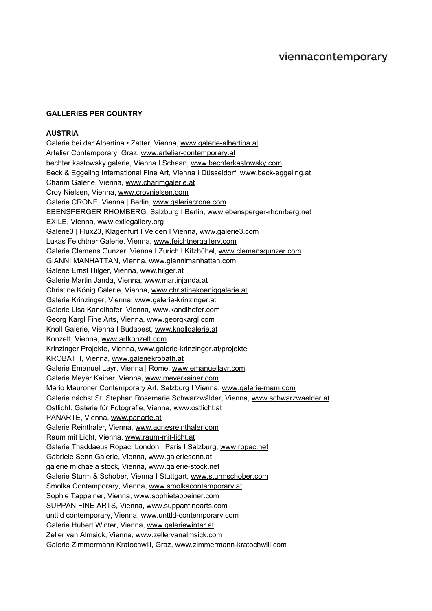### **GALLERIES PER COUNTRY**

# **AUSTRIA**

Galerie bei der Albertina • Zetter, Vienna, [www.galerie-albertina.at](http://www.galerie-albertina.at/) Artelier Contemporary, Graz, [www.artelier-contemporary.at](http://www.artelier-contemporary.at/) bechter kastowsky galerie, Vienna I Schaan, [www.bechterkastowsky.com](http://www.bechterkastowsky.com/) Beck & Eggeling International Fine Art, Vienna I Düsseldorf, [www.beck-eggeling.at](http://www.beck-eggeling.at/) Charim Galerie, Vienna, [www.charimgalerie.at](http://www.charimgalerie.at/) Croy Nielsen, Vienna, [www.croynielsen.com](http://www.croynielsen.com/) Galerie CRONE, Vienna | Berlin, [www.galeriecrone.com](http://www.galeriecrone.com/) EBENSPERGER RHOMBERG, Salzburg I Berlin, [www.ebensperger-rhomberg.net](http://www.ebensperger-rhomberg.net/) EXILE, Vienna, [www.exilegallery.org](http://www.exilegallery.org/) Galerie3 | Flux23, Klagenfurt I Velden I Vienna, [www.galerie3.com](http://www.galerie3.com/) Lukas Feichtner Galerie, Vienna, [www.feichtnergallery.com](http://www.feichtnergallery.com/) Galerie Clemens Gunzer, Vienna I Zurich I Kitzbühel, [www.clemensgunzer.com](http://www.clemensgunzer.com/) GIANNI MANHATTAN, Vienna, [www.giannimanhattan.com](http://www.giannimanhattan.com/) Galerie Ernst Hilger, Vienna, [www.hilger.at](http://www.hilger.at/) Galerie Martin Janda, Vienna, [www.martinjanda.at](http://www.martinjanda.at/) Christine König Galerie, Vienna, [www.christinekoeniggalerie.at](http://www.christinekoeniggalerie.at/) Galerie Krinzinger, Vienna, [www.galerie-krinzinger.at](http://www.galerie-krinzinger.at/) Galerie Lisa Kandlhofer, Vienna, [www.kandlhofer.com](http://www.kandlhofer.com/) Georg Kargl Fine Arts, Vienna, [www.georgkargl.com](http://www.georgkargl.com/) Knoll Galerie, Vienna I Budapest, [www.knollgalerie.at](http://www.knollgalerie.at/) Konzett, Vienna, [www.artkonzett.com](http://www.artkonzett.com/) Krinzinger Projekte, Vienna, [www.galerie-krinzinger.at/projekte](http://www.galerie-krinzinger.at/projekte) KROBATH, Vienna, [www.galeriekrobath.at](http://www.galeriekrobath.at/) Galerie Emanuel Layr, Vienna | Rome, [www.emanuellayr.com](http://www.emanuellayr.com/) Galerie Meyer Kainer, Vienna, [www.meyerkainer.com](http://www.meyerkainer.com/) Mario Mauroner Contemporary Art, Salzburg I Vienna, [www.galerie-mam.com](http://www.galerie-mam.com/) Galerie nächst St. Stephan Rosemarie Schwarzwälder, Vienna, [www.schwarzwaelder.at](http://www.schwarzwaelder.at/) Ostlicht. Galerie für Fotografie, Vienna, [www.ostlicht.at](http://www.ostlicht.at/) PANARTE, Vienna, [www.panarte.at](http://www.panarte.at/) Galerie Reinthaler, Vienna, [www.agnesreinthaler.com](http://www.agnesreinthaler.com/) Raum mit Licht, Vienna, [www.raum-mit-licht.at](http://www.raum-mit-licht.at/) Galerie Thaddaeus Ropac, London I Paris I Salzburg, [www.ropac.net](http://www.ropac.net/) Gabriele Senn Galerie, Vienna, [www.galeriesenn.at](http://www.galeriesenn.at/) galerie michaela stock, Vienna, [www.galerie-stock.net](http://www.galerie-stock.net/) Galerie Sturm & Schober, Vienna I Stuttgart, [www.sturmschober.com](http://www.sturmschober.com/) Smolka Contemporary, Vienna, [www.smolkacontemporary.at](http://www.smolkacontemporary.at/) Sophie Tappeiner, Vienna, [www.sophietappeiner.com](http://www.sophietappeiner.com/) SUPPAN FINE ARTS, Vienna, [www.suppanfinearts.com](http://www.suppanfinearts.com/) unttld contemporary, Vienna, [www.unttld-contemporary.com](http://www.unttld-contemporary.com/) Galerie Hubert Winter, Vienna, [www.galeriewinter.at](http://www.galeriewinter.at/) Zeller van Almsick, Vienna, [www.zellervanalmsick.com](http://www.zellervanalmsick.com/) Galerie Zimmermann Kratochwill, Graz, [www.zimmermann-kratochwill.com](http://www.zimmermann-kratochwill.com/)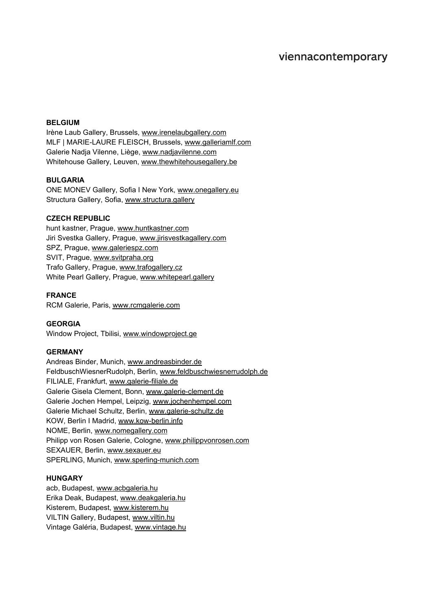# viennacontemporary

#### **BELGIUM**

Irène Laub Gallery, Brussels, [www.irenelaubgallery.com](http://www.irenelaubgallery.com/) MLF | MARIE-LAURE FLEISCH, Brussels, [www.galleriamlf.com](http://www.galleriamlf.com/) Galerie Nadja Vilenne, Liège, [www.nadjavilenne.com](http://www.nadjavilenne.com/) Whitehouse Gallery, Leuven, [www.thewhitehousegallery.be](http://www.thewhitehousegallery.be/)

#### **BULGARIA**

ONE MONEV Gallery, Sofia I New York, [www.onegallery.eu](http://www.onegallery.eu/) Structura Gallery, Sofia, [www.structura.gallery](http://www.structura.gallery/)

### **CZECH REPUBLIC**

hunt kastner, Prague, [www.huntkastner.com](http://www.huntkastner.com/) Jiri Svestka Gallery, Prague, [www.jirisvestkagallery.com](http://www.jirisvestkagallery.com/) SPZ, Prague, [www.galeriespz.com](http://www.galeriespz.com/) SVIT, Prague, [www.svitpraha.org](http://www.svitpraha.org/) Trafo Gallery, Prague, [www.trafogallery.cz](http://www.trafogallery.cz/) White Pearl Gallery, Prague, [www.whitepearl.gallery](http://www.whitepearl.gallery/)

#### **FRANCE**

RCM Galerie, Paris, [www.rcmgalerie.com](http://www.rcmgalerie.com/)

### **GEORGIA**

Window Project, Tbilisi, [www.windowproject.ge](http://www.windowproject.ge/)

#### **GERMANY**

Andreas Binder, Munich, [www.andreasbinder.de](http://www.andreasbinder.de/) FeldbuschWiesnerRudolph, Berlin, [www.feldbuschwiesnerrudolph.de](http://www.feldbuschwiesnerrudolph.de/) FILIALE, Frankfurt, [www.galerie-filiale.de](http://www.galerie-filiale.de/) Galerie Gisela Clement, Bonn, [www.galerie-clement.de](http://www.galerie-clement.de/) Galerie Jochen Hempel, Leipzig, [www.jochenhempel.com](http://www.jochenhempel.com/) Galerie Michael Schultz, Berlin, [www.galerie-schultz.de](http://www.galerie-schultz.de/) KOW, Berlin I Madrid, [www.kow-berlin.info](http://www.kow-berlin.info/) NOME, Berlin, [www.nomegallery.com](http://www.nomegallery.com/) Philipp von Rosen Galerie, Cologne, [www.philippvonrosen.com](http://www.philippvonrosen.com/) SEXAUER, Berlin, [www.sexauer.eu](http://www.sexauer.eu/) SPERLING, Munich, [www.sperling-munich.com](http://www.sperling-munich.com/)

## **HUNGARY**

acb, Budapest, [www.acbgaleria.hu](http://www.acbgaleria.hu/) Erika Deak, Budapest, [www.deakgaleria.hu](http://www.deakgaleria.hu/) Kisterem, Budapest, [www.kisterem.hu](http://www.kisterem.hu/) VILTIN Gallery, Budapest, [www.viltin.hu](http://www.viltin.hu/) Vintage Galéria, Budapest, [www.vintage.hu](http://www.vintage.hu/)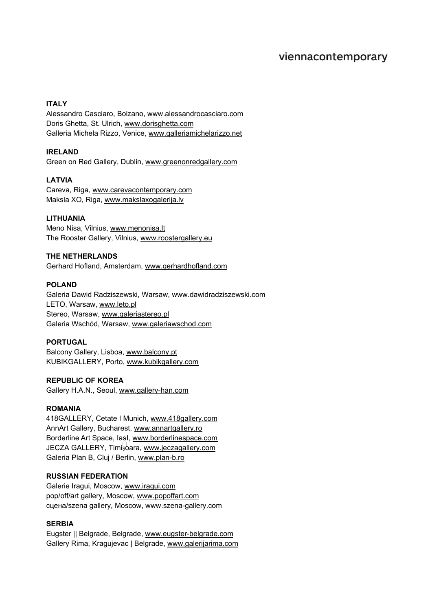# viennacontemporary

# **ITALY**

Alessandro Casciaro, Bolzano, [www.alessandrocasciaro.com](http://www.alessandrocasciaro.com/) Doris Ghetta, St. Ulrich, [www.dorisghetta.com](http://www.dorisghetta.com/) Galleria Michela Rizzo, Venice, [www.galleriamichelarizzo.net](http://www.galleriamichelarizzo.net/)

# **IRELAND**

Green on Red Gallery, Dublin, [www.greenonredgallery.com](http://www.greenonredgallery.com/)

# **LATVIA**

Careva, Riga, [www.carevacontemporary.com](http://www.carevacontemporary.com/) Maksla XO, Riga, [www.makslaxogalerija.lv](http://www.makslaxogalerija.lv/)

# **LITHUANIA**

Meno Nisa, Vilnius, [www.menonisa.lt](http://www.menonisa.lt/) The Rooster Gallery, Vilnius, [www.roostergallery.eu](http://www.roostergallery.eu/)

# **THE NETHERLANDS**

Gerhard Hofland, Amsterdam, [www.gerhardhofland.com](http://www.gerhardhofland.com/)

# **POLAND**

Galeria Dawid Radziszewski, Warsaw, [www.dawidradziszewski.com](http://www.dawidradziszewski.com/) LETO, Warsaw, [www.leto.pl](http://www.leto.pl/) Stereo, Warsaw, [www.galeriastereo.pl](http://www.galeriastereo.pl/) Galeria Wschód, Warsaw, [www.galeriawschod.com](http://www.galeriawschod.com/)

## **PORTUGAL**

Balcony Gallery, Lisboa, [www.balcony.pt](http://www.balcony.pt/) KUBIKGALLERY, Porto, [www.kubikgallery.com](http://www.kubikgallery.com/)

## **REPUBLIC OF KOREA**

Gallery H.A.N., Seoul, [www.gallery-han.com](http://www.gallery-han.com/)

## **ROMANIA**

418GALLERY, Cetate I Munich, [www.418gallery.com](http://www.418gallery.com/) AnnArt Gallery, Bucharest, [www.annartgallery.ro](http://www.annartgallery.ro/) Borderline Art Space, lasl, [www.borderlinespace.com](http://www.borderlinespace.com/) JECZA GALLERY, Timișoara, [www.jeczagallery.com](http://www.jeczagallery.com/) Galeria Plan B, Cluj / Berlin, [www.plan-b.ro](http://www.plan-b.ro/)

# **RUSSIAN FEDERATION**

Galerie Iragui, Moscow, [www.iragui.com](http://www.iragui.com/) pop/off/art gallery, Moscow, [www.popoffart.com](http://www.popoffart.com/) сцена/szena gallery, Moscow, [www.szena-gallery.com](http://www.szena-gallery.com/)

## **SERBIA**

Eugster || Belgrade, Belgrade, [www.eugster-belgrade.com](http://www.eugster-belgrade.com/) Gallery Rima, Kragujevac | Belgrade, [www.galerijarima.com](http://www.galerijarima.com/)